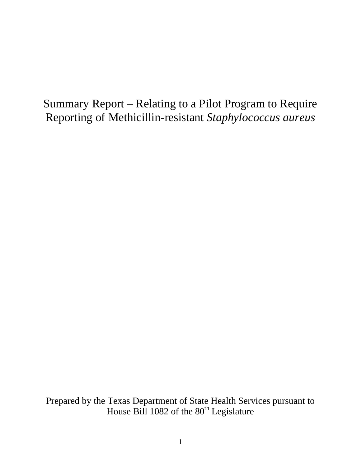# Summary Report – Relating to a Pilot Program to Require Reporting of Methicillin-resistant *Staphylococcus aureus*

Prepared by the Texas Department of State Health Services pursuant to House Bill 1082 of the  $80<sup>th</sup>$  Legislature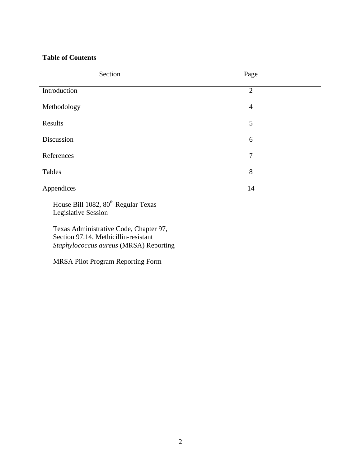# **Table of Contents**

| Section                                                                                                                  | Page           |  |
|--------------------------------------------------------------------------------------------------------------------------|----------------|--|
| Introduction                                                                                                             | $\overline{2}$ |  |
| Methodology                                                                                                              | $\overline{4}$ |  |
| Results                                                                                                                  | 5              |  |
| Discussion                                                                                                               | 6              |  |
| References                                                                                                               | 7              |  |
| Tables                                                                                                                   | 8              |  |
| Appendices                                                                                                               | 14             |  |
| House Bill 1082, 80 <sup>th</sup> Regular Texas<br><b>Legislative Session</b>                                            |                |  |
| Texas Administrative Code, Chapter 97,<br>Section 97.14, Methicillin-resistant<br>Staphylococcus aureus (MRSA) Reporting |                |  |
| <b>MRSA Pilot Program Reporting Form</b>                                                                                 |                |  |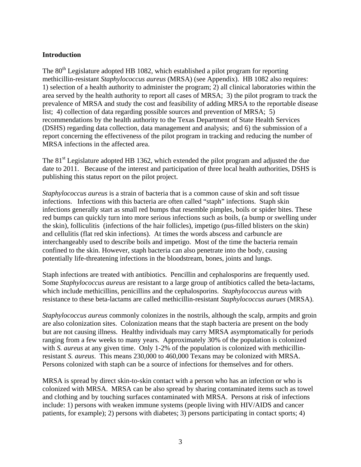# **Introduction**

The 80<sup>th</sup> Legislature adopted HB 1082, which established a pilot program for reporting methicillin-resistant *Staphylococcus aureus* (MRSA) (see Appendix). HB 1082 also requires: 1) selection of a health authority to administer the program; 2) all clinical laboratories within the area served by the health authority to report all cases of MRSA; 3) the pilot program to track the prevalence of MRSA and study the cost and feasibility of adding MRSA to the reportable disease list; 4) collection of data regarding possible sources and prevention of MRSA; 5) recommendations by the health authority to the Texas Department of State Health Services (DSHS) regarding data collection, data management and analysis; and 6) the submission of a report concerning the effectiveness of the pilot program in tracking and reducing the number of MRSA infections in the affected area.

The 81<sup>st</sup> Legislature adopted HB 1362, which extended the pilot program and adjusted the due date to 2011. Because of the interest and participation of three local health authorities, DSHS is publishing this status report on the pilot project.

*Staphylococcus aureus* is a strain of bacteria that is a common cause of skin and soft tissue infections. Infections with this bacteria are often called "staph" infections. Staph skin infections generally start as small red bumps that resemble pimples, boils or spider bites. These red bumps can quickly turn into more serious infections such as boils, (a bump or swelling under the skin), folliculitis (infections of the hair follicles), impetigo (pus-filled blisters on the skin) and cellulitis (flat red skin infections). At times the words abscess and carbuncle are interchangeably used to describe boils and impetigo. Most of the time the bacteria remain confined to the skin. However, staph bacteria can also penetrate into the body, causing potentially life-threatening infections in the bloodstream, bones, joints and lungs.

Staph infections are treated with antibiotics. Pencillin and cephalosporins are frequently used. Some *Staphylococcus aureus* are resistant to a large group of antibiotics called the beta-lactams, which include methicillins, penicillins and the cephalosporins. *Staphylococcus aureus* with resistance to these beta-lactams are called methicillin-resistant *Staphylococcus aurues* (MRSA).

*Staphylococcus aureus* commonly colonizes in the nostrils, although the scalp, armpits and groin are also colonization sites. Colonization means that the staph bacteria are present on the body but are not causing illness. Healthy individuals may carry MRSA asymptomatically for periods ranging from a few weeks to many years. Approximately 30% of the population is colonized with *S. aureus* at any given time. Only 1-2% of the population is colonized with methicillinresistant *S. aureus*. This means 230,000 to 460,000 Texans may be colonized with MRSA. Persons colonized with staph can be a source of infections for themselves and for others.

MRSA is spread by direct skin-to-skin contact with a person who has an infection or who is colonized with MRSA. MRSA can be also spread by sharing contaminated items such as towel and clothing and by touching surfaces contaminated with MRSA. Persons at risk of infections include: 1) persons with weaken immune systems (people living with HIV/AIDS and cancer patients, for example); 2) persons with diabetes; 3) persons participating in contact sports; 4)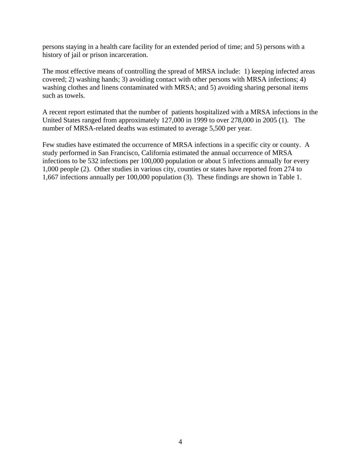persons staying in a health care facility for an extended period of time; and 5) persons with a history of jail or prison incarceration.

The most effective means of controlling the spread of MRSA include: 1) keeping infected areas covered; 2) washing hands; 3) avoiding contact with other persons with MRSA infections; 4) washing clothes and linens contaminated with MRSA; and 5) avoiding sharing personal items such as towels.

A recent report estimated that the number of patients hospitalized with a MRSA infections in the United States ranged from approximately 127,000 in 1999 to over 278,000 in 2005 (1). The number of MRSA-related deaths was estimated to average 5,500 per year.

Few studies have estimated the occurrence of MRSA infections in a specific city or county. A study performed in San Francisco, California estimated the annual occurrence of MRSA infections to be 532 infections per 100,000 population or about 5 infections annually for every 1,000 people (2). Other studies in various city, counties or states have reported from 274 to 1,667 infections annually per 100,000 population (3). These findings are shown in Table 1.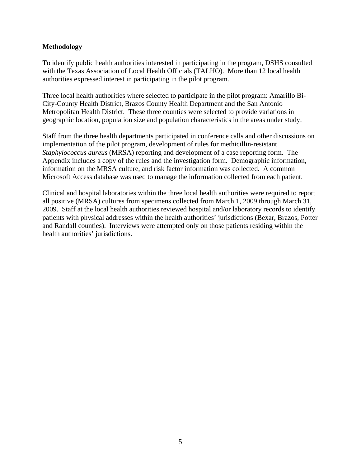## **Methodology**

To identify public health authorities interested in participating in the program, DSHS consulted with the Texas Association of Local Health Officials (TALHO). More than 12 local health authorities expressed interest in participating in the pilot program.

Three local health authorities where selected to participate in the pilot program: Amarillo Bi-City-County Health District, Brazos County Health Department and the San Antonio Metropolitan Health District. These three counties were selected to provide variations in geographic location, population size and population characteristics in the areas under study.

Staff from the three health departments participated in conference calls and other discussions on implementation of the pilot program, development of rules for methicillin-resistant *Staphylococcus aureus* (MRSA) reporting and development of a case reporting form. The Appendix includes a copy of the rules and the investigation form. Demographic information, information on the MRSA culture, and risk factor information was collected. A common Microsoft Access database was used to manage the information collected from each patient.

Clinical and hospital laboratories within the three local health authorities were required to report all positive (MRSA) cultures from specimens collected from March 1, 2009 through March 31, 2009. Staff at the local health authorities reviewed hospital and/or laboratory records to identify patients with physical addresses within the health authorities' jurisdictions (Bexar, Brazos, Potter and Randall counties). Interviews were attempted only on those patients residing within the health authorities' jurisdictions.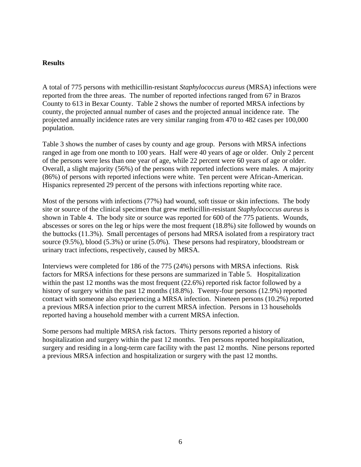#### **Results**

A total of 775 persons with methicillin-resistant *Staphylococcus aureus* (MRSA) infections were reported from the three areas. The number of reported infections ranged from 67 in Brazos County to 613 in Bexar County. Table 2 shows the number of reported MRSA infections by county, the projected annual number of cases and the projected annual incidence rate. The projected annually incidence rates are very similar ranging from 470 to 482 cases per 100,000 population.

Table 3 shows the number of cases by county and age group. Persons with MRSA infections ranged in age from one month to 100 years. Half were 40 years of age or older. Only 2 percent of the persons were less than one year of age, while 22 percent were 60 years of age or older. Overall, a slight majority (56%) of the persons with reported infections were males. A majority (86%) of persons with reported infections were white. Ten percent were African-American. Hispanics represented 29 percent of the persons with infections reporting white race.

Most of the persons with infections (77%) had wound, soft tissue or skin infections. The body site or source of the clinical specimen that grew methicillin-resistant *Staphylococcus aureus* is shown in Table 4. The body site or source was reported for 600 of the 775 patients. Wounds, abscesses or sores on the leg or hips were the most frequent (18.8%) site followed by wounds on the buttocks (11.3%). Small percentages of persons had MRSA isolated from a respiratory tract source (9.5%), blood (5.3%) or urine (5.0%). These persons had respiratory, bloodstream or urinary tract infections, respectively, caused by MRSA.

Interviews were completed for 186 of the 775 (24%) persons with MRSA infections. Risk factors for MRSA infections for these persons are summarized in Table 5. Hospitalization within the past 12 months was the most frequent (22.6%) reported risk factor followed by a history of surgery within the past 12 months (18.8%). Twenty-four persons (12.9%) reported contact with someone also experiencing a MRSA infection. Nineteen persons (10.2%) reported a previous MRSA infection prior to the current MRSA infection. Persons in 13 households reported having a household member with a current MRSA infection.

Some persons had multiple MRSA risk factors. Thirty persons reported a history of hospitalization and surgery within the past 12 months. Ten persons reported hospitalization, surgery and residing in a long-term care facility with the past 12 months. Nine persons reported a previous MRSA infection and hospitalization or surgery with the past 12 months.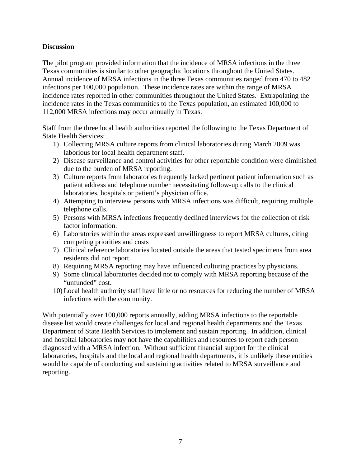# **Discussion**

The pilot program provided information that the incidence of MRSA infections in the three Texas communities is similar to other geographic locations throughout the United States. Annual incidence of MRSA infections in the three Texas communities ranged from 470 to 482 infections per 100,000 population. These incidence rates are within the range of MRSA incidence rates reported in other communities throughout the United States. Extrapolating the incidence rates in the Texas communities to the Texas population, an estimated 100,000 to 112,000 MRSA infections may occur annually in Texas.

Staff from the three local health authorities reported the following to the Texas Department of State Health Services:

- 1) Collecting MRSA culture reports from clinical laboratories during March 2009 was laborious for local health department staff.
- 2) Disease surveillance and control activities for other reportable condition were diminished due to the burden of MRSA reporting.
- 3) Culture reports from laboratories frequently lacked pertinent patient information such as patient address and telephone number necessitating follow-up calls to the clinical laboratories, hospitals or patient's physician office.
- 4) Attempting to interview persons with MRSA infections was difficult, requiring multiple telephone calls.
- 5) Persons with MRSA infections frequently declined interviews for the collection of risk factor information.
- 6) Laboratories within the areas expressed unwillingness to report MRSA cultures, citing competing priorities and costs
- 7) Clinical reference laboratories located outside the areas that tested specimens from area residents did not report.
- 8) Requiring MRSA reporting may have influenced culturing practices by physicians.
- 9) Some clinical laboratories decided not to comply with MRSA reporting because of the "unfunded" cost.
- 10) Local health authority staff have little or no resources for reducing the number of MRSA infections with the community.

With potentially over 100,000 reports annually, adding MRSA infections to the reportable disease list would create challenges for local and regional health departments and the Texas Department of State Health Services to implement and sustain reporting. In addition, clinical and hospital laboratories may not have the capabilities and resources to report each person diagnosed with a MRSA infection. Without sufficient financial support for the clinical laboratories, hospitals and the local and regional health departments, it is unlikely these entities would be capable of conducting and sustaining activities related to MRSA surveillance and reporting.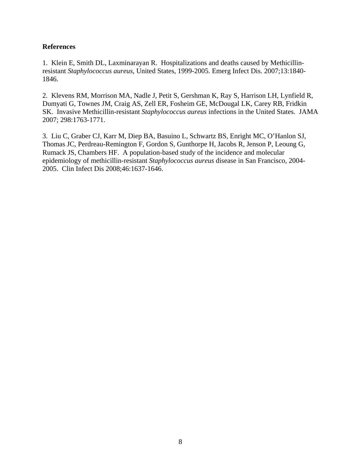## **References**

1. Klein E, Smith DL, Laxminarayan R. Hospitalizations and deaths caused by Methicillinresistant *Staphylococcus aureus*, United States, 1999-2005. Emerg Infect Dis. 2007;13:1840- 1846.

2. Klevens RM, Morrison MA, Nadle J, Petit S, Gershman K, Ray S, Harrison LH, Lynfield R, Dumyati G, Townes JM, Craig AS, Zell ER, Fosheim GE, McDougal LK, Carey RB, Fridkin SK. Invasive Methicillin-resistant *Staphylococcus aureus* infections in the United States. JAMA 2007; 298:1763-1771.

3. Liu C, Graber CJ, Karr M, Diep BA, Basuino L, Schwartz BS, Enright MC, O'Hanlon SJ, Thomas JC, Perdreau-Remington F, Gordon S, Gunthorpe H, Jacobs R, Jenson P, Leoung G, Rumack JS, Chambers HF. A population-based study of the incidence and molecular epidemiology of methicillin-resistant *Staphylococcus aureus* disease in San Francisco, 2004- 2005. Clin Infect Dis 2008;46:1637-1646.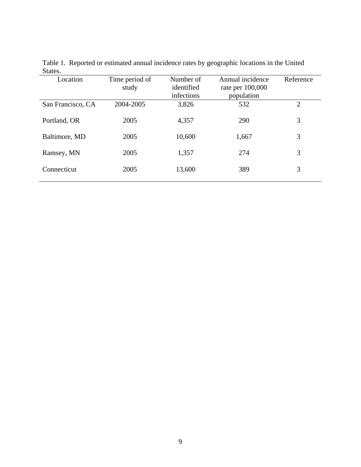| ~~~~~~            |                         |                                       |                                                      |                |
|-------------------|-------------------------|---------------------------------------|------------------------------------------------------|----------------|
| Location          | Time period of<br>study | Number of<br>identified<br>infections | Annual incidence<br>rate per $100,000$<br>population | Reference      |
| San Francisco, CA | 2004-2005               | 3,826                                 | 532                                                  | $\overline{2}$ |
| Portland, OR      | 2005                    | 4,357                                 | 290                                                  | 3              |
| Baltimore, MD     | 2005                    | 10,600                                | 1,667                                                | 3              |
| Ramsey, MN        | 2005                    | 1,357                                 | 274                                                  | 3              |
| Connecticut       | 2005                    | 13,600                                | 389                                                  | 3              |
|                   |                         |                                       |                                                      |                |

Table 1. Reported or estimated annual incidence rates by geographic locations in the United States.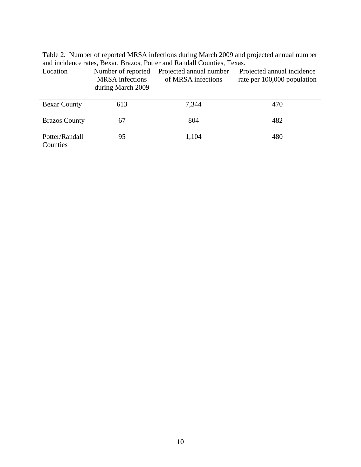Table 2. Number of reported MRSA infections during March 2009 and projected annual number and incidence rates, Bexar, Brazos, Potter and Randall Counties, Texas.

| Location                   | Number of reported<br><b>MRSA</b> infections<br>during March 2009 | Projected annual number<br>of MRSA infections | Projected annual incidence<br>rate per 100,000 population |
|----------------------------|-------------------------------------------------------------------|-----------------------------------------------|-----------------------------------------------------------|
| <b>Bexar County</b>        | 613                                                               | 7,344                                         | 470                                                       |
| <b>Brazos County</b>       | 67                                                                | 804                                           | 482                                                       |
| Potter/Randall<br>Counties | 95                                                                | 1,104                                         | 480                                                       |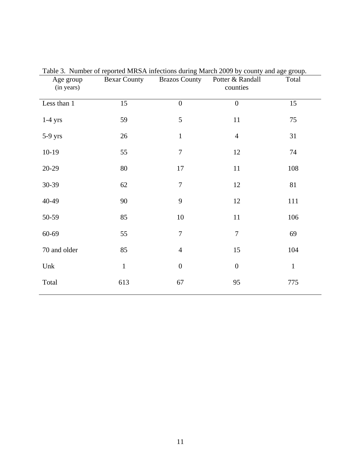| Age group<br>(in years) | <b>Bexar County</b> | <b>Brazos County</b> | Table 5. Number of reported MRSA infections during March 2009 by county and age group.<br>Potter & Randall<br>counties | Total        |
|-------------------------|---------------------|----------------------|------------------------------------------------------------------------------------------------------------------------|--------------|
| Less than 1             | 15                  | $\overline{0}$       | $\overline{0}$                                                                                                         | 15           |
| $1-4$ yrs               | 59                  | 5                    | 11                                                                                                                     | 75           |
| 5-9 yrs                 | 26                  | $\mathbf{1}$         | $\overline{4}$                                                                                                         | 31           |
| $10-19$                 | 55                  | $\overline{7}$       | 12                                                                                                                     | 74           |
| $20 - 29$               | 80                  | 17                   | 11                                                                                                                     | 108          |
| 30-39                   | 62                  | $\overline{7}$       | 12                                                                                                                     | 81           |
| 40-49                   | 90                  | 9                    | 12                                                                                                                     | 111          |
| 50-59                   | 85                  | 10                   | 11                                                                                                                     | 106          |
| $60 - 69$               | 55                  | $\overline{7}$       | $\overline{7}$                                                                                                         | 69           |
| 70 and older            | 85                  | $\overline{4}$       | 15                                                                                                                     | 104          |
| Unk                     | $1\,$               | $\boldsymbol{0}$     | $\boldsymbol{0}$                                                                                                       | $\mathbf{1}$ |
| Total                   | 613                 | 67                   | 95                                                                                                                     | 775          |
|                         |                     |                      |                                                                                                                        |              |

|                   | Table 3. Number of reported MRSA infections during March 2009 by county and age group. |                                                           |       |
|-------------------|----------------------------------------------------------------------------------------|-----------------------------------------------------------|-------|
| $\Delta$ ge group | $\mathsf{R}$ evar $\mathsf{Country}$                                                   | $\text{Rrazo}$ County $\text{Pattern } \& \text{Randall}$ | Total |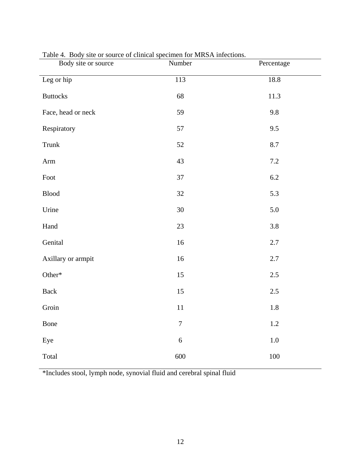| Body site or source | Number         | Percentage |
|---------------------|----------------|------------|
| Leg or hip          | 113            | 18.8       |
| <b>Buttocks</b>     | 68             | 11.3       |
| Face, head or neck  | 59             | 9.8        |
| Respiratory         | 57             | 9.5        |
| Trunk               | 52             | 8.7        |
| Arm                 | 43             | 7.2        |
| Foot                | 37             | 6.2        |
| <b>Blood</b>        | 32             | 5.3        |
| Urine               | 30             | 5.0        |
| Hand                | 23             | 3.8        |
| Genital             | 16             | 2.7        |
| Axillary or armpit  | 16             | 2.7        |
| Other*              | 15             | $2.5\,$    |
| Back                | 15             | 2.5        |
| Groin               | 11             | 1.8        |
| Bone                | $\overline{7}$ | $1.2\,$    |
| Eye                 | 6              | $1.0\,$    |
| Total               | 600            | $100\,$    |

# Table 4. Body site or source of clinical specimen for MRSA infections.

\*Includes stool, lymph node, synovial fluid and cerebral spinal fluid